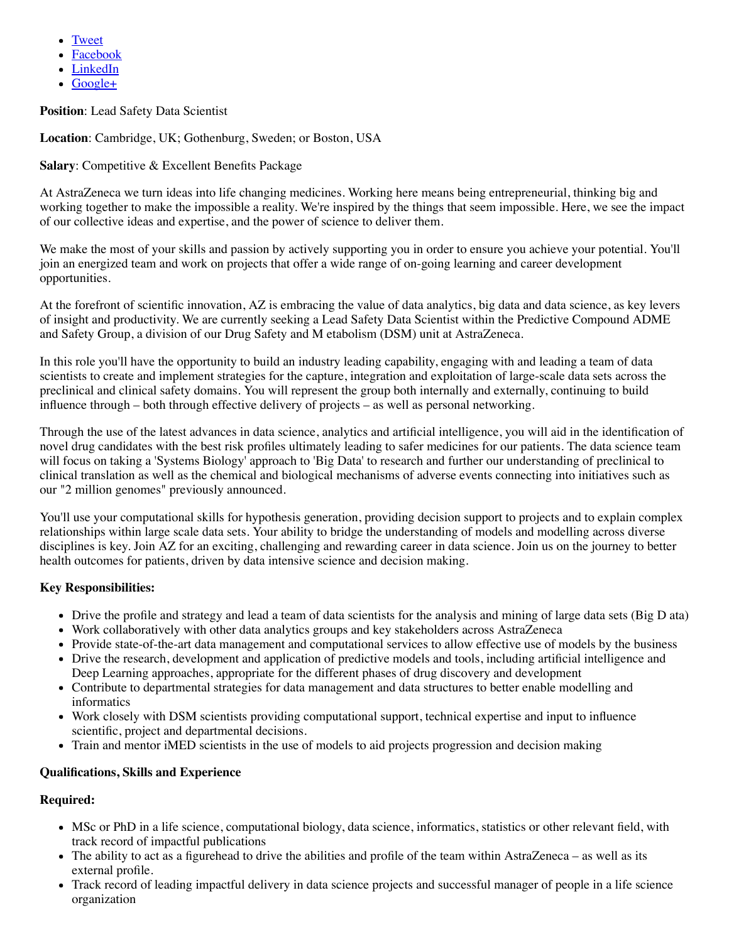- [Tweet](http://twitter.com/home?status=Lead%20Safety%20Data%20Scientist%20%3A%20Cambridge%2C%20United%20Kingdom%20%3A%20Naturejobs%20-%20https://www.nature.com/naturejobs/science/jobs/634139-lead-safety-data-scientist%20-%20via%20@naturejobs)
- [Facebook](http://www.facebook.com/share.php?u=https://www.nature.com/naturejobs/science/jobs/634139-lead-safety-data-scientist&t=Lead%20Safety%20Data%20Scientist%20%3A%20Cambridge%2C%20United%20Kingdom%20%3A%20Naturejobs)
- [LinkedIn](http://www.linkedin.com/shareArticle?url=https://www.nature.com/naturejobs/science/jobs/634139-lead-safety-data-scientist&title=Lead%20Safety%20Data%20Scientist%20%3A%20Cambridge%2C%20United%20Kingdom%20%3A%20Naturejobs%20-%20via%20Naturejobs)
- $\bullet$  [Google+](https://plus.google.com/share?url=https://www.nature.com/naturejobs/science/jobs/634139-lead-safety-data-scientist)

**Position**: Lead Safety Data Scientist

**Location**: Cambridge, UK; Gothenburg, Sweden; or Boston, USA

## **Salary:** Competitive & Excellent Benefits Package

At AstraZeneca we turn ideas into life changing medicines. Working here means being entrepreneurial, thinking big and working together to make the impossible a reality. We're inspired by the things that seem impossible. Here, we see the impact of our collective ideas and expertise, and the power of science to deliver them.

We make the most of your skills and passion by actively supporting you in order to ensure you achieve your potential. You'll join an energized team and work on projects that offer a wide range of on-going learning and career development opportunities.

At the forefront of scientific innovation, AZ is embracing the value of data analytics, big data and data science, as key levers of insight and productivity. We are currently seeking a Lead Safety Data Scientist within the Predictive Compound ADME and Safety Group, a division of our Drug Safety and M etabolism (DSM) unit at AstraZeneca.

In this role you'll have the opportunity to build an industry leading capability, engaging with and leading a team of data scientists to create and implement strategies for the capture, integration and exploitation of large-scale data sets across the preclinical and clinical safety domains. You will represent the group both internally and externally, continuing to build influence through – both through effective delivery of projects – as well as personal networking.

Through the use of the latest advances in data science, analytics and artificial intelligence, you will aid in the identification of novel drug candidates with the best risk profiles ultimately leading to safer medicines for our patients. The data science team will focus on taking a 'Systems Biology' approach to 'Big Data' to research and further our understanding of preclinical to clinical translation as well as the chemical and biological mechanisms of adverse events connecting into initiatives such as our "2 million genomes" previously announced.

You'll use your computational skills for hypothesis generation, providing decision support to projects and to explain complex relationships within large scale data sets. Your ability to bridge the understanding of models and modelling across diverse disciplines is key. Join AZ for an exciting, challenging and rewarding career in data science. Join us on the journey to better health outcomes for patients, driven by data intensive science and decision making.

## **Key Responsibilities:**

- Drive the profile and strategy and lead a team of data scientists for the analysis and mining of large data sets (Big D ata)
- Work collaboratively with other data analytics groups and key stakeholders across AstraZeneca
- Provide state-of-the-art data management and computational services to allow effective use of models by the business
- Drive the research, development and application of predictive models and tools, including artificial intelligence and Deep Learning approaches, appropriate for the different phases of drug discovery and development
- Contribute to departmental strategies for data management and data structures to better enable modelling and informatics
- Work closely with DSM scientists providing computational support, technical expertise and input to influence scientific, project and departmental decisions.
- Train and mentor iMED scientists in the use of models to aid projects progression and decision making

### **Qualifications, Skills and Experience**

### **Required:**

- MSc or PhD in a life science, computational biology, data science, informatics, statistics or other relevant field, with track record of impactful publications
- The ability to act as a figurehead to drive the abilities and profile of the team within AstraZeneca as well as its external profile.
- Track record of leading impactful delivery in data science projects and successful manager of people in a life science organization